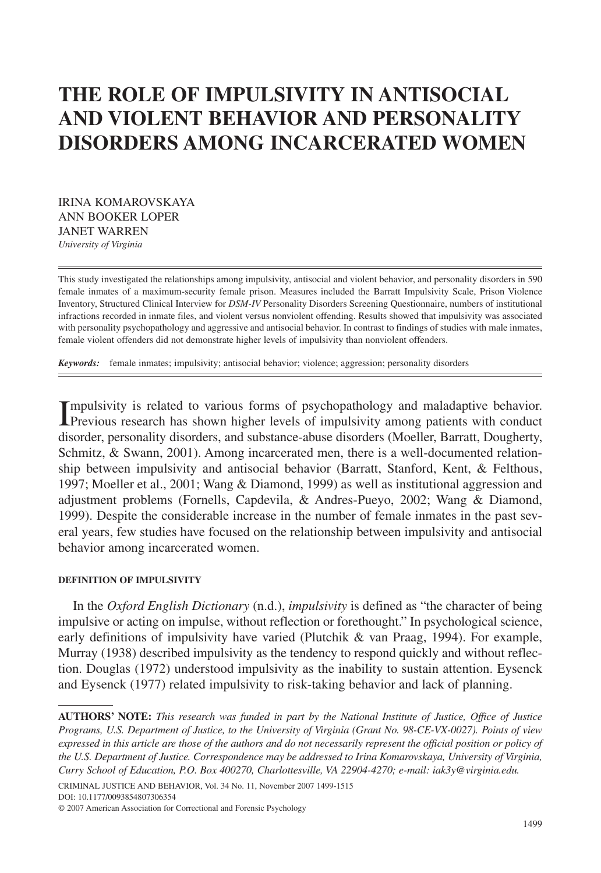# **THE ROLE OF IMPULSIVITY IN ANTISOCIAL AND VIOLENT BEHAVIOR AND PERSONALITY DISORDERS AMONG INCARCERATED WOMEN**

IRINA KOMAROVSKAYA ANN BOOKER LOPER JANET WARREN *University of Virginia*

This study investigated the relationships among impulsivity, antisocial and violent behavior, and personality disorders in 590 female inmates of a maximum-security female prison. Measures included the Barratt Impulsivity Scale, Prison Violence Inventory, Structured Clinical Interview for *DSM-IV* Personality Disorders Screening Questionnaire, numbers of institutional infractions recorded in inmate files, and violent versus nonviolent offending. Results showed that impulsivity was associated with personality psychopathology and aggressive and antisocial behavior. In contrast to findings of studies with male inmates, female violent offenders did not demonstrate higher levels of impulsivity than nonviolent offenders.

*Keywords:* female inmates; impulsivity; antisocial behavior; violence; aggression; personality disorders

Impulsivity is related to various forms of psychopathology and maladaptive behavior.<br>Previous research has shown higher levels of impulsivity among patients with conduct **T**mpulsivity is related to various forms of psychopathology and maladaptive behavior. disorder, personality disorders, and substance-abuse disorders (Moeller, Barratt, Dougherty, Schmitz, & Swann, 2001). Among incarcerated men, there is a well-documented relationship between impulsivity and antisocial behavior (Barratt, Stanford, Kent, & Felthous, 1997; Moeller et al., 2001; Wang & Diamond, 1999) as well as institutional aggression and adjustment problems (Fornells, Capdevila, & Andres-Pueyo, 2002; Wang & Diamond, 1999). Despite the considerable increase in the number of female inmates in the past several years, few studies have focused on the relationship between impulsivity and antisocial behavior among incarcerated women.

#### **DEFINITION OF IMPULSIVITY**

In the *Oxford English Dictionary* (n.d.), *impulsivity* is defined as "the character of being impulsive or acting on impulse, without reflection or forethought." In psychological science, early definitions of impulsivity have varied (Plutchik & van Praag, 1994). For example, Murray (1938) described impulsivity as the tendency to respond quickly and without reflection. Douglas (1972) understood impulsivity as the inability to sustain attention. Eysenck and Eysenck (1977) related impulsivity to risk-taking behavior and lack of planning.

CRIMINAL JUSTICE AND BEHAVIOR, Vol. 34 No. 11, November 2007 1499-1515 DOI: 10.1177/0093854807306354

**AUTHORS' NOTE:** *This research was funded in part by the National Institute of Justice, Office of Justice Programs, U.S. Department of Justice, to the University of Virginia (Grant No. 98-CE-VX-0027). Points of view expressed in this article are those of the authors and do not necessarily represent the official position or policy of the U.S. Department of Justice. Correspondence may be addressed to Irina Komarovskaya, University of Virginia, Curry School of Education, P.O. Box 400270, Charlottesville, VA 22904-4270; e-mail: iak3y@virginia.edu.*

<sup>© 2007</sup> American Association for Correctional and Forensic Psychology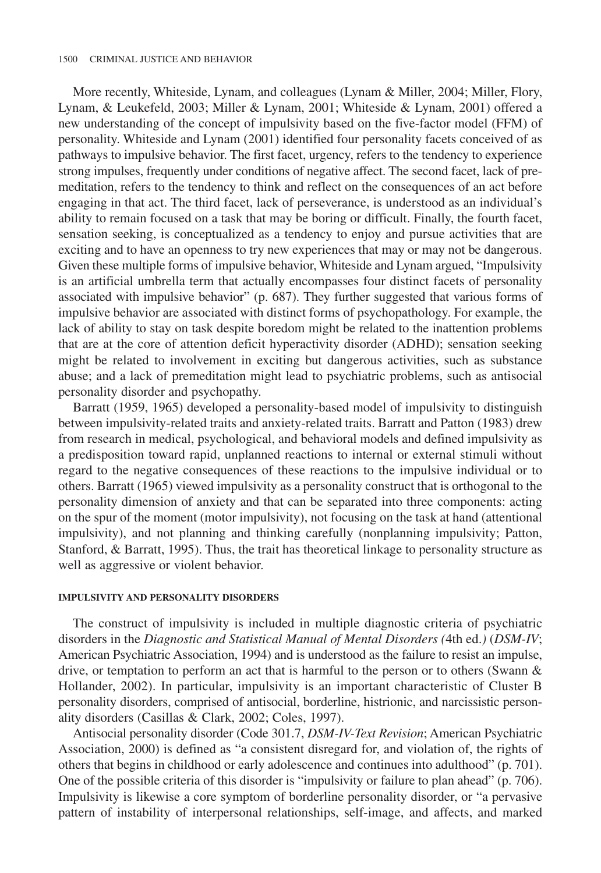More recently, Whiteside, Lynam, and colleagues (Lynam & Miller, 2004; Miller, Flory, Lynam, & Leukefeld, 2003; Miller & Lynam, 2001; Whiteside & Lynam, 2001) offered a new understanding of the concept of impulsivity based on the five-factor model (FFM) of personality. Whiteside and Lynam (2001) identified four personality facets conceived of as pathways to impulsive behavior. The first facet, urgency, refers to the tendency to experience strong impulses, frequently under conditions of negative affect. The second facet, lack of premeditation, refers to the tendency to think and reflect on the consequences of an act before engaging in that act. The third facet, lack of perseverance, is understood as an individual's ability to remain focused on a task that may be boring or difficult. Finally, the fourth facet, sensation seeking, is conceptualized as a tendency to enjoy and pursue activities that are exciting and to have an openness to try new experiences that may or may not be dangerous. Given these multiple forms of impulsive behavior, Whiteside and Lynam argued, "Impulsivity is an artificial umbrella term that actually encompasses four distinct facets of personality associated with impulsive behavior" (p. 687). They further suggested that various forms of impulsive behavior are associated with distinct forms of psychopathology. For example, the lack of ability to stay on task despite boredom might be related to the inattention problems that are at the core of attention deficit hyperactivity disorder (ADHD); sensation seeking might be related to involvement in exciting but dangerous activities, such as substance abuse; and a lack of premeditation might lead to psychiatric problems, such as antisocial personality disorder and psychopathy.

Barratt (1959, 1965) developed a personality-based model of impulsivity to distinguish between impulsivity-related traits and anxiety-related traits. Barratt and Patton (1983) drew from research in medical, psychological, and behavioral models and defined impulsivity as a predisposition toward rapid, unplanned reactions to internal or external stimuli without regard to the negative consequences of these reactions to the impulsive individual or to others. Barratt (1965) viewed impulsivity as a personality construct that is orthogonal to the personality dimension of anxiety and that can be separated into three components: acting on the spur of the moment (motor impulsivity), not focusing on the task at hand (attentional impulsivity), and not planning and thinking carefully (nonplanning impulsivity; Patton, Stanford, & Barratt, 1995). Thus, the trait has theoretical linkage to personality structure as well as aggressive or violent behavior.

# **IMPULSIVITY AND PERSONALITY DISORDERS**

The construct of impulsivity is included in multiple diagnostic criteria of psychiatric disorders in the *Diagnostic and Statistical Manual of Mental Disorders (*4th ed.*)* (*DSM-IV*; American Psychiatric Association, 1994) and is understood as the failure to resist an impulse, drive, or temptation to perform an act that is harmful to the person or to others (Swann & Hollander, 2002). In particular, impulsivity is an important characteristic of Cluster B personality disorders, comprised of antisocial, borderline, histrionic, and narcissistic personality disorders (Casillas & Clark, 2002; Coles, 1997).

Antisocial personality disorder (Code 301.7, *DSM-IV-Text Revision*; American Psychiatric Association, 2000) is defined as "a consistent disregard for, and violation of, the rights of others that begins in childhood or early adolescence and continues into adulthood" (p. 701). One of the possible criteria of this disorder is "impulsivity or failure to plan ahead" (p. 706). Impulsivity is likewise a core symptom of borderline personality disorder, or "a pervasive pattern of instability of interpersonal relationships, self-image, and affects, and marked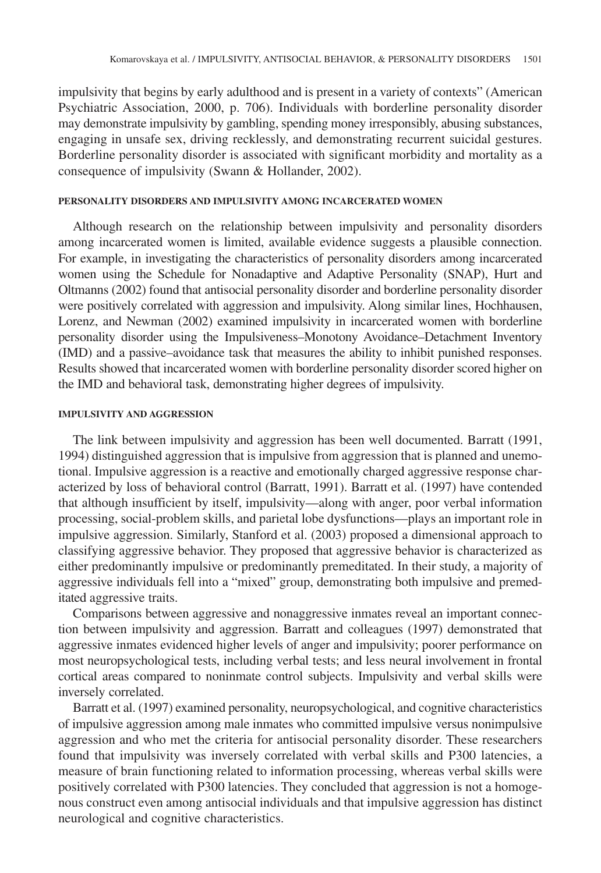impulsivity that begins by early adulthood and is present in a variety of contexts" (American Psychiatric Association, 2000, p. 706). Individuals with borderline personality disorder may demonstrate impulsivity by gambling, spending money irresponsibly, abusing substances, engaging in unsafe sex, driving recklessly, and demonstrating recurrent suicidal gestures. Borderline personality disorder is associated with significant morbidity and mortality as a consequence of impulsivity (Swann & Hollander, 2002).

## **PERSONALITY DISORDERS AND IMPULSIVITY AMONG INCARCERATED WOMEN**

Although research on the relationship between impulsivity and personality disorders among incarcerated women is limited, available evidence suggests a plausible connection. For example, in investigating the characteristics of personality disorders among incarcerated women using the Schedule for Nonadaptive and Adaptive Personality (SNAP), Hurt and Oltmanns (2002) found that antisocial personality disorder and borderline personality disorder were positively correlated with aggression and impulsivity. Along similar lines, Hochhausen, Lorenz, and Newman (2002) examined impulsivity in incarcerated women with borderline personality disorder using the Impulsiveness–Monotony Avoidance–Detachment Inventory (IMD) and a passive–avoidance task that measures the ability to inhibit punished responses. Results showed that incarcerated women with borderline personality disorder scored higher on the IMD and behavioral task, demonstrating higher degrees of impulsivity.

# **IMPULSIVITY AND AGGRESSION**

The link between impulsivity and aggression has been well documented. Barratt (1991, 1994) distinguished aggression that is impulsive from aggression that is planned and unemotional. Impulsive aggression is a reactive and emotionally charged aggressive response characterized by loss of behavioral control (Barratt, 1991). Barratt et al. (1997) have contended that although insufficient by itself, impulsivity—along with anger, poor verbal information processing, social-problem skills, and parietal lobe dysfunctions—plays an important role in impulsive aggression. Similarly, Stanford et al. (2003) proposed a dimensional approach to classifying aggressive behavior. They proposed that aggressive behavior is characterized as either predominantly impulsive or predominantly premeditated. In their study, a majority of aggressive individuals fell into a "mixed" group, demonstrating both impulsive and premeditated aggressive traits.

Comparisons between aggressive and nonaggressive inmates reveal an important connection between impulsivity and aggression. Barratt and colleagues (1997) demonstrated that aggressive inmates evidenced higher levels of anger and impulsivity; poorer performance on most neuropsychological tests, including verbal tests; and less neural involvement in frontal cortical areas compared to noninmate control subjects. Impulsivity and verbal skills were inversely correlated.

Barratt et al. (1997) examined personality, neuropsychological, and cognitive characteristics of impulsive aggression among male inmates who committed impulsive versus nonimpulsive aggression and who met the criteria for antisocial personality disorder. These researchers found that impulsivity was inversely correlated with verbal skills and P300 latencies, a measure of brain functioning related to information processing, whereas verbal skills were positively correlated with P300 latencies. They concluded that aggression is not a homogenous construct even among antisocial individuals and that impulsive aggression has distinct neurological and cognitive characteristics.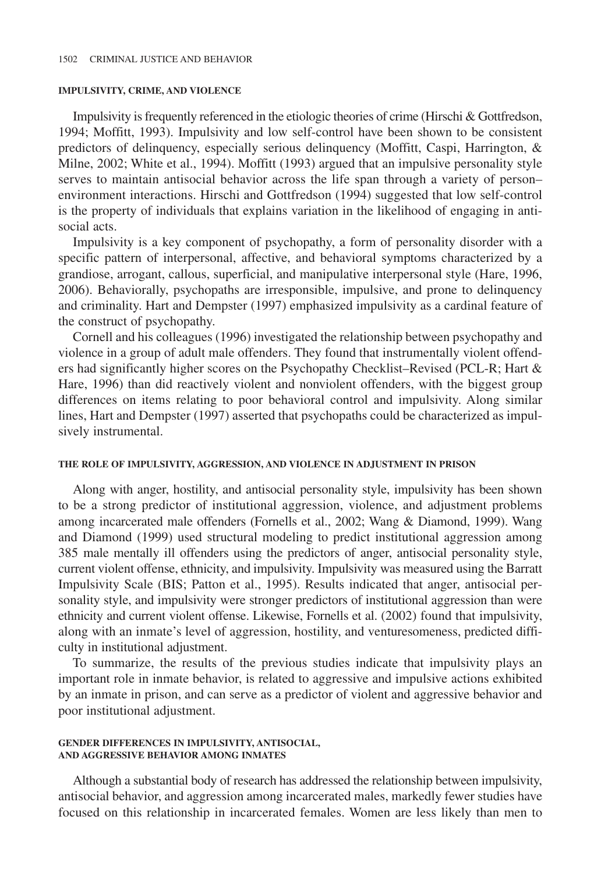#### **IMPULSIVITY, CRIME, AND VIOLENCE**

Impulsivity is frequently referenced in the etiologic theories of crime (Hirschi & Gottfredson, 1994; Moffitt, 1993). Impulsivity and low self-control have been shown to be consistent predictors of delinquency, especially serious delinquency (Moffitt, Caspi, Harrington, & Milne, 2002; White et al., 1994). Moffitt (1993) argued that an impulsive personality style serves to maintain antisocial behavior across the life span through a variety of person– environment interactions. Hirschi and Gottfredson (1994) suggested that low self-control is the property of individuals that explains variation in the likelihood of engaging in antisocial acts.

Impulsivity is a key component of psychopathy, a form of personality disorder with a specific pattern of interpersonal, affective, and behavioral symptoms characterized by a grandiose, arrogant, callous, superficial, and manipulative interpersonal style (Hare, 1996, 2006). Behaviorally, psychopaths are irresponsible, impulsive, and prone to delinquency and criminality. Hart and Dempster (1997) emphasized impulsivity as a cardinal feature of the construct of psychopathy.

Cornell and his colleagues (1996) investigated the relationship between psychopathy and violence in a group of adult male offenders. They found that instrumentally violent offenders had significantly higher scores on the Psychopathy Checklist–Revised (PCL-R; Hart & Hare, 1996) than did reactively violent and nonviolent offenders, with the biggest group differences on items relating to poor behavioral control and impulsivity. Along similar lines, Hart and Dempster (1997) asserted that psychopaths could be characterized as impulsively instrumental.

## **THE ROLE OF IMPULSIVITY, AGGRESSION, AND VIOLENCE IN ADJUSTMENT IN PRISON**

Along with anger, hostility, and antisocial personality style, impulsivity has been shown to be a strong predictor of institutional aggression, violence, and adjustment problems among incarcerated male offenders (Fornells et al., 2002; Wang & Diamond, 1999). Wang and Diamond (1999) used structural modeling to predict institutional aggression among 385 male mentally ill offenders using the predictors of anger, antisocial personality style, current violent offense, ethnicity, and impulsivity. Impulsivity was measured using the Barratt Impulsivity Scale (BIS; Patton et al., 1995). Results indicated that anger, antisocial personality style, and impulsivity were stronger predictors of institutional aggression than were ethnicity and current violent offense. Likewise, Fornells et al. (2002) found that impulsivity, along with an inmate's level of aggression, hostility, and venturesomeness, predicted difficulty in institutional adjustment.

To summarize, the results of the previous studies indicate that impulsivity plays an important role in inmate behavior, is related to aggressive and impulsive actions exhibited by an inmate in prison, and can serve as a predictor of violent and aggressive behavior and poor institutional adjustment.

#### **GENDER DIFFERENCES IN IMPULSIVITY, ANTISOCIAL, AND AGGRESSIVE BEHAVIOR AMONG INMATES**

Although a substantial body of research has addressed the relationship between impulsivity, antisocial behavior, and aggression among incarcerated males, markedly fewer studies have focused on this relationship in incarcerated females. Women are less likely than men to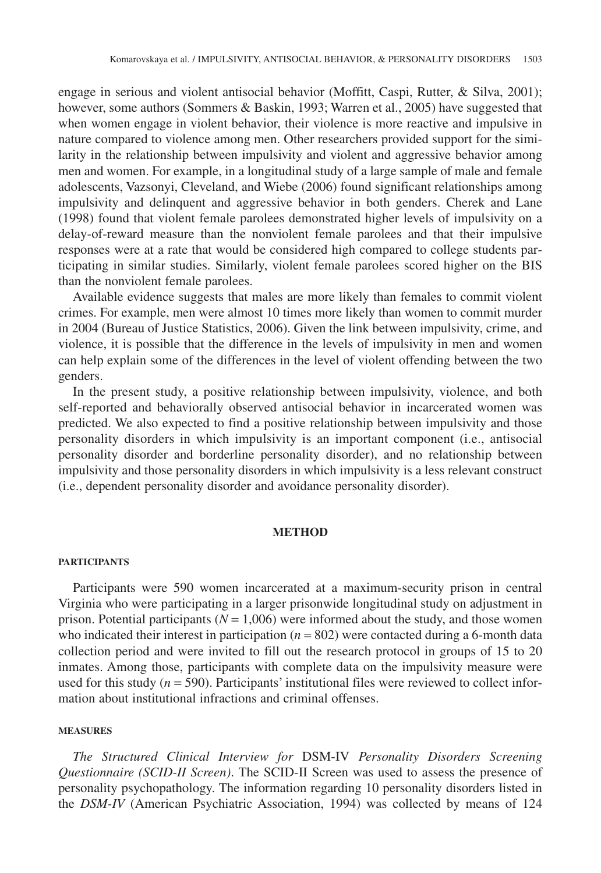engage in serious and violent antisocial behavior (Moffitt, Caspi, Rutter, & Silva, 2001); however, some authors (Sommers & Baskin, 1993; Warren et al., 2005) have suggested that when women engage in violent behavior, their violence is more reactive and impulsive in nature compared to violence among men. Other researchers provided support for the similarity in the relationship between impulsivity and violent and aggressive behavior among men and women. For example, in a longitudinal study of a large sample of male and female adolescents, Vazsonyi, Cleveland, and Wiebe (2006) found significant relationships among impulsivity and delinquent and aggressive behavior in both genders. Cherek and Lane (1998) found that violent female parolees demonstrated higher levels of impulsivity on a delay-of-reward measure than the nonviolent female parolees and that their impulsive responses were at a rate that would be considered high compared to college students participating in similar studies. Similarly, violent female parolees scored higher on the BIS than the nonviolent female parolees.

Available evidence suggests that males are more likely than females to commit violent crimes. For example, men were almost 10 times more likely than women to commit murder in 2004 (Bureau of Justice Statistics, 2006). Given the link between impulsivity, crime, and violence, it is possible that the difference in the levels of impulsivity in men and women can help explain some of the differences in the level of violent offending between the two genders.

In the present study, a positive relationship between impulsivity, violence, and both self-reported and behaviorally observed antisocial behavior in incarcerated women was predicted. We also expected to find a positive relationship between impulsivity and those personality disorders in which impulsivity is an important component (i.e., antisocial personality disorder and borderline personality disorder), and no relationship between impulsivity and those personality disorders in which impulsivity is a less relevant construct (i.e., dependent personality disorder and avoidance personality disorder).

## **METHOD**

# **PARTICIPANTS**

Participants were 590 women incarcerated at a maximum-security prison in central Virginia who were participating in a larger prisonwide longitudinal study on adjustment in prison. Potential participants ( $N = 1,006$ ) were informed about the study, and those women who indicated their interest in participation  $(n = 802)$  were contacted during a 6-month data collection period and were invited to fill out the research protocol in groups of 15 to 20 inmates. Among those, participants with complete data on the impulsivity measure were used for this study  $(n = 590)$ . Participants' institutional files were reviewed to collect information about institutional infractions and criminal offenses.

## **MEASURES**

*The Structured Clinical Interview for* DSM-IV *Personality Disorders Screening Questionnaire (SCID-II Screen)*. The SCID-II Screen was used to assess the presence of personality psychopathology. The information regarding 10 personality disorders listed in the *DSM-IV* (American Psychiatric Association, 1994) was collected by means of 124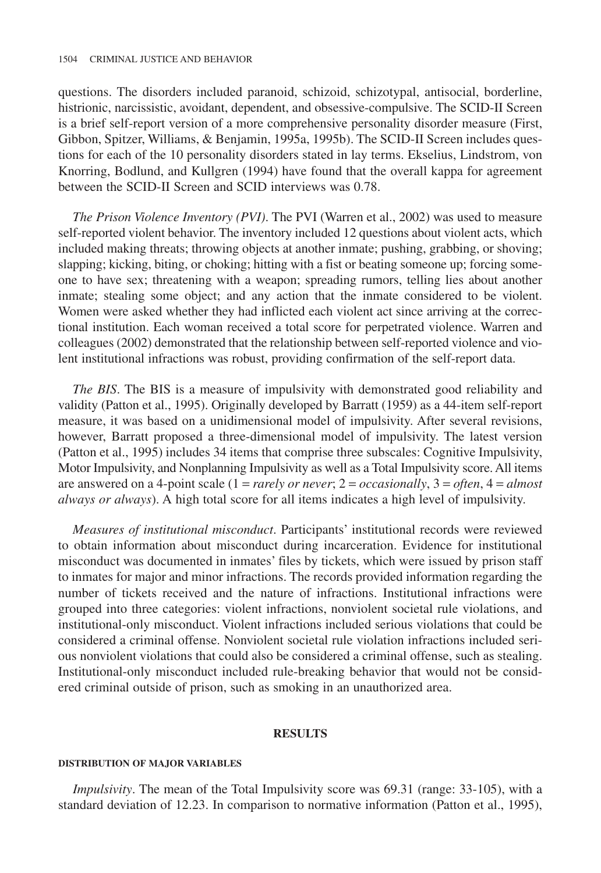questions. The disorders included paranoid, schizoid, schizotypal, antisocial, borderline, histrionic, narcissistic, avoidant, dependent, and obsessive-compulsive. The SCID-II Screen is a brief self-report version of a more comprehensive personality disorder measure (First, Gibbon, Spitzer, Williams, & Benjamin, 1995a, 1995b). The SCID-II Screen includes questions for each of the 10 personality disorders stated in lay terms. Ekselius, Lindstrom, von Knorring, Bodlund, and Kullgren (1994) have found that the overall kappa for agreement between the SCID-II Screen and SCID interviews was 0.78.

*The Prison Violence Inventory (PVI)*. The PVI (Warren et al., 2002) was used to measure self-reported violent behavior. The inventory included 12 questions about violent acts, which included making threats; throwing objects at another inmate; pushing, grabbing, or shoving; slapping; kicking, biting, or choking; hitting with a fist or beating someone up; forcing someone to have sex; threatening with a weapon; spreading rumors, telling lies about another inmate; stealing some object; and any action that the inmate considered to be violent. Women were asked whether they had inflicted each violent act since arriving at the correctional institution. Each woman received a total score for perpetrated violence. Warren and colleagues (2002) demonstrated that the relationship between self-reported violence and violent institutional infractions was robust, providing confirmation of the self-report data.

*The BIS*. The BIS is a measure of impulsivity with demonstrated good reliability and validity (Patton et al., 1995). Originally developed by Barratt (1959) as a 44-item self-report measure, it was based on a unidimensional model of impulsivity. After several revisions, however, Barratt proposed a three-dimensional model of impulsivity. The latest version (Patton et al., 1995) includes 34 items that comprise three subscales: Cognitive Impulsivity, Motor Impulsivity, and Nonplanning Impulsivity as well as a Total Impulsivity score. All items are answered on a 4-point scale (1 = *rarely or never*; 2 = *occasionally*, 3 = *often*, 4 = *almost always or always*). A high total score for all items indicates a high level of impulsivity.

*Measures of institutional misconduct*. Participants' institutional records were reviewed to obtain information about misconduct during incarceration. Evidence for institutional misconduct was documented in inmates' files by tickets, which were issued by prison staff to inmates for major and minor infractions. The records provided information regarding the number of tickets received and the nature of infractions. Institutional infractions were grouped into three categories: violent infractions, nonviolent societal rule violations, and institutional-only misconduct. Violent infractions included serious violations that could be considered a criminal offense. Nonviolent societal rule violation infractions included serious nonviolent violations that could also be considered a criminal offense, such as stealing. Institutional-only misconduct included rule-breaking behavior that would not be considered criminal outside of prison, such as smoking in an unauthorized area.

## **RESULTS**

## **DISTRIBUTION OF MAJOR VARIABLES**

*Impulsivity*. The mean of the Total Impulsivity score was 69.31 (range: 33-105), with a standard deviation of 12.23. In comparison to normative information (Patton et al., 1995),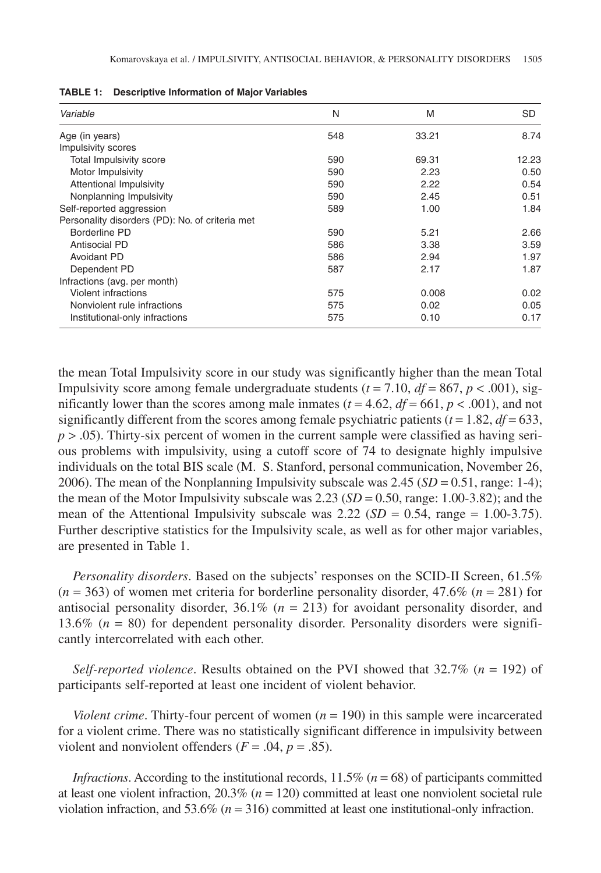| Variable                                        | N   | M     | <b>SD</b> |
|-------------------------------------------------|-----|-------|-----------|
| Age (in years)                                  | 548 | 33.21 | 8.74      |
| Impulsivity scores                              |     |       |           |
| Total Impulsivity score                         | 590 | 69.31 | 12.23     |
| Motor Impulsivity                               | 590 | 2.23  | 0.50      |
| <b>Attentional Impulsivity</b>                  | 590 | 2.22  | 0.54      |
| Nonplanning Impulsivity                         | 590 | 2.45  | 0.51      |
| Self-reported aggression                        | 589 | 1.00  | 1.84      |
| Personality disorders (PD): No. of criteria met |     |       |           |
| <b>Borderline PD</b>                            | 590 | 5.21  | 2.66      |
| Antisocial PD                                   | 586 | 3.38  | 3.59      |
| Avoidant PD                                     | 586 | 2.94  | 1.97      |
| Dependent PD                                    | 587 | 2.17  | 1.87      |
| Infractions (avg. per month)                    |     |       |           |
| Violent infractions                             | 575 | 0.008 | 0.02      |
| Nonviolent rule infractions                     | 575 | 0.02  | 0.05      |
| Institutional-only infractions                  | 575 | 0.10  | 0.17      |

**TABLE 1: Descriptive Information of Major Variables**

the mean Total Impulsivity score in our study was significantly higher than the mean Total Impulsivity score among female undergraduate students ( $t = 7.10$ ,  $df = 867$ ,  $p < .001$ ), significantly lower than the scores among male inmates ( $t = 4.62$ ,  $df = 661$ ,  $p < .001$ ), and not significantly different from the scores among female psychiatric patients ( $t = 1.82$ ,  $df = 633$ ,  $p > .05$ ). Thirty-six percent of women in the current sample were classified as having serious problems with impulsivity, using a cutoff score of 74 to designate highly impulsive individuals on the total BIS scale (M. S. Stanford, personal communication, November 26, 2006). The mean of the Nonplanning Impulsivity subscale was 2.45 (*SD* = 0.51, range: 1-4); the mean of the Motor Impulsivity subscale was  $2.23$  ( $SD = 0.50$ , range: 1.00-3.82); and the mean of the Attentional Impulsivity subscale was  $2.22$  (*SD* = 0.54, range = 1.00-3.75). Further descriptive statistics for the Impulsivity scale, as well as for other major variables, are presented in Table 1.

*Personality disorders*. Based on the subjects' responses on the SCID-II Screen, 61.5% (*n* = 363) of women met criteria for borderline personality disorder, 47.6% (*n* = 281) for antisocial personality disorder, 36.1% (*n* = 213) for avoidant personality disorder, and 13.6% (*n* = 80) for dependent personality disorder. Personality disorders were significantly intercorrelated with each other.

*Self-reported violence*. Results obtained on the PVI showed that 32.7% (*n* = 192) of participants self-reported at least one incident of violent behavior.

*Violent crime*. Thirty-four percent of women  $(n = 190)$  in this sample were incarcerated for a violent crime. There was no statistically significant difference in impulsivity between violent and nonviolent offenders  $(F = .04, p = .85)$ .

*Infractions*. According to the institutional records,  $11.5\%$  ( $n = 68$ ) of participants committed at least one violent infraction, 20.3% (*n* = 120) committed at least one nonviolent societal rule violation infraction, and 53.6% (*n* = 316) committed at least one institutional-only infraction.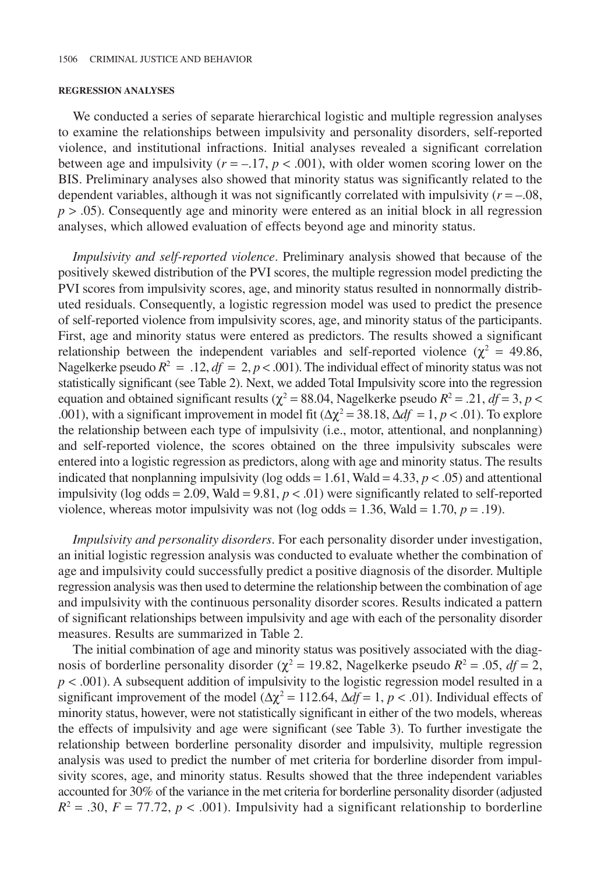#### **REGRESSION ANALYSES**

We conducted a series of separate hierarchical logistic and multiple regression analyses to examine the relationships between impulsivity and personality disorders, self-reported violence, and institutional infractions. Initial analyses revealed a significant correlation between age and impulsivity  $(r = -.17, p < .001)$ , with older women scoring lower on the BIS. Preliminary analyses also showed that minority status was significantly related to the dependent variables, although it was not significantly correlated with impulsivity  $(r = -.08, ...)$  $p > .05$ ). Consequently age and minority were entered as an initial block in all regression analyses, which allowed evaluation of effects beyond age and minority status.

*Impulsivity and self-reported violence*. Preliminary analysis showed that because of the positively skewed distribution of the PVI scores, the multiple regression model predicting the PVI scores from impulsivity scores, age, and minority status resulted in nonnormally distributed residuals. Consequently, a logistic regression model was used to predict the presence of self-reported violence from impulsivity scores, age, and minority status of the participants. First, age and minority status were entered as predictors. The results showed a significant relationship between the independent variables and self-reported violence ( $\chi^2$  = 49.86, Nagelkerke pseudo  $R^2 = .12$ ,  $d\hat{f} = 2$ ,  $p < .001$ ). The individual effect of minority status was not statistically significant (see Table 2). Next, we added Total Impulsivity score into the regression equation and obtained significant results ( $χ² = 88.04$ , Nagelkerke pseudo  $R² = .21$ ,  $df = 3$ ,  $p <$ .001), with a significant improvement in model fit ( $\Delta \chi^2 = 38.18$ ,  $\Delta df = 1$ ,  $p < .01$ ). To explore the relationship between each type of impulsivity (i.e., motor, attentional, and nonplanning) and self-reported violence, the scores obtained on the three impulsivity subscales were entered into a logistic regression as predictors, along with age and minority status. The results indicated that nonplanning impulsivity ( $log \cdot oldsymbol{odds} = 1.61$ , Wald = 4.33,  $p < .05$ ) and attentional impulsivity (log odds = 2.09, Wald =  $9.81$ ,  $p < .01$ ) were significantly related to self-reported violence, whereas motor impulsivity was not (log odds = 1.36, Wald = 1.70,  $p = .19$ ).

*Impulsivity and personality disorders*. For each personality disorder under investigation, an initial logistic regression analysis was conducted to evaluate whether the combination of age and impulsivity could successfully predict a positive diagnosis of the disorder. Multiple regression analysis was then used to determine the relationship between the combination of age and impulsivity with the continuous personality disorder scores. Results indicated a pattern of significant relationships between impulsivity and age with each of the personality disorder measures. Results are summarized in Table 2.

The initial combination of age and minority status was positively associated with the diagnosis of borderline personality disorder ( $\chi^2$  = 19.82, Nagelkerke pseudo  $R^2$  = .05, *df* = 2, *p* < .001). A subsequent addition of impulsivity to the logistic regression model resulted in a significant improvement of the model ( $\Delta \chi^2 = 112.64$ ,  $\Delta df = 1$ ,  $p < .01$ ). Individual effects of minority status, however, were not statistically significant in either of the two models, whereas the effects of impulsivity and age were significant (see Table 3). To further investigate the relationship between borderline personality disorder and impulsivity, multiple regression analysis was used to predict the number of met criteria for borderline disorder from impulsivity scores, age, and minority status. Results showed that the three independent variables accounted for 30% of the variance in the met criteria for borderline personality disorder (adjusted  $R^2 = 0.30$ ,  $F = 77.72$ ,  $p < 0.001$ ). Impulsivity had a significant relationship to borderline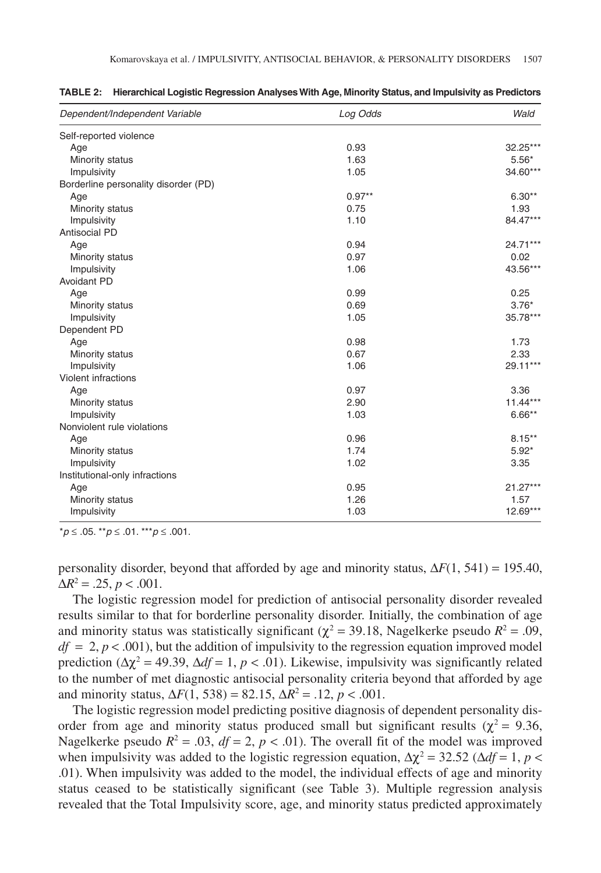| Dependent/Independent Variable       | Log Odds | Wald       |  |
|--------------------------------------|----------|------------|--|
| Self-reported violence               |          |            |  |
| Age                                  | 0.93     | 32.25***   |  |
| Minority status                      | 1.63     | $5.56*$    |  |
| Impulsivity                          | 1.05     | 34.60***   |  |
| Borderline personality disorder (PD) |          |            |  |
| Age                                  | $0.97**$ | $6.30**$   |  |
| Minority status                      | 0.75     | 1.93       |  |
| Impulsivity                          | 1.10     | 84.47***   |  |
| <b>Antisocial PD</b>                 |          |            |  |
| Age                                  | 0.94     | 24.71***   |  |
| Minority status                      | 0.97     | 0.02       |  |
| Impulsivity                          | 1.06     | 43.56***   |  |
| Avoidant PD                          |          |            |  |
| Age                                  | 0.99     | 0.25       |  |
| Minority status                      | 0.69     | $3.76*$    |  |
| Impulsivity                          | 1.05     | 35.78***   |  |
| Dependent PD                         |          |            |  |
| Age                                  | 0.98     | 1.73       |  |
| Minority status                      | 0.67     | 2.33       |  |
| Impulsivity                          | 1.06     | 29.11***   |  |
| Violent infractions                  |          |            |  |
| Age                                  | 0.97     | 3.36       |  |
| Minority status                      | 2.90     | $11.44***$ |  |
| Impulsivity                          | 1.03     | $6.66**$   |  |
| Nonviolent rule violations           |          |            |  |
| Age                                  | 0.96     | $8.15***$  |  |
| Minority status                      | 1.74     | $5.92*$    |  |
| Impulsivity                          | 1.02     | 3.35       |  |
| Institutional-only infractions       |          |            |  |
| Age                                  | 0.95     | $21.27***$ |  |
| Minority status                      | 1.26     | 1.57       |  |
| Impulsivity                          | 1.03     | $12.69***$ |  |

| TABLE 2: Hierarchical Logistic Regression Analyses With Age, Minority Status, and Impulsivity as Predictors |  |  |
|-------------------------------------------------------------------------------------------------------------|--|--|
|                                                                                                             |  |  |

 $**p* ≤ .05. ***p* ≤ .01. ****p* ≤ .001.$ 

personality disorder, beyond that afforded by age and minority status, ∆*F*(1, 541) = 195.40,  $\Delta R^2 = .25, p < .001.$ 

The logistic regression model for prediction of antisocial personality disorder revealed results similar to that for borderline personality disorder. Initially, the combination of age and minority status was statistically significant ( $\chi^2$  = 39.18, Nagelkerke pseudo  $R^2$  = .09,  $df = 2, p < .001$ , but the addition of impulsivity to the regression equation improved model prediction ( $\Delta \chi^2$  = 49.39,  $\Delta df$  = 1, *p* < .01). Likewise, impulsivity was significantly related to the number of met diagnostic antisocial personality criteria beyond that afforded by age and minority status,  $\Delta F(1, 538) = 82.15$ ,  $\Delta R^2 = .12$ ,  $p < .001$ .

The logistic regression model predicting positive diagnosis of dependent personality disorder from age and minority status produced small but significant results ( $\chi^2$  = 9.36, Nagelkerke pseudo  $R^2 = .03$ ,  $df = 2$ ,  $p < .01$ ). The overall fit of the model was improved when impulsivity was added to the logistic regression equation,  $\Delta \chi^2 = 32.52$  ( $\Delta df = 1$ , *p* < .01). When impulsivity was added to the model, the individual effects of age and minority status ceased to be statistically significant (see Table 3). Multiple regression analysis revealed that the Total Impulsivity score, age, and minority status predicted approximately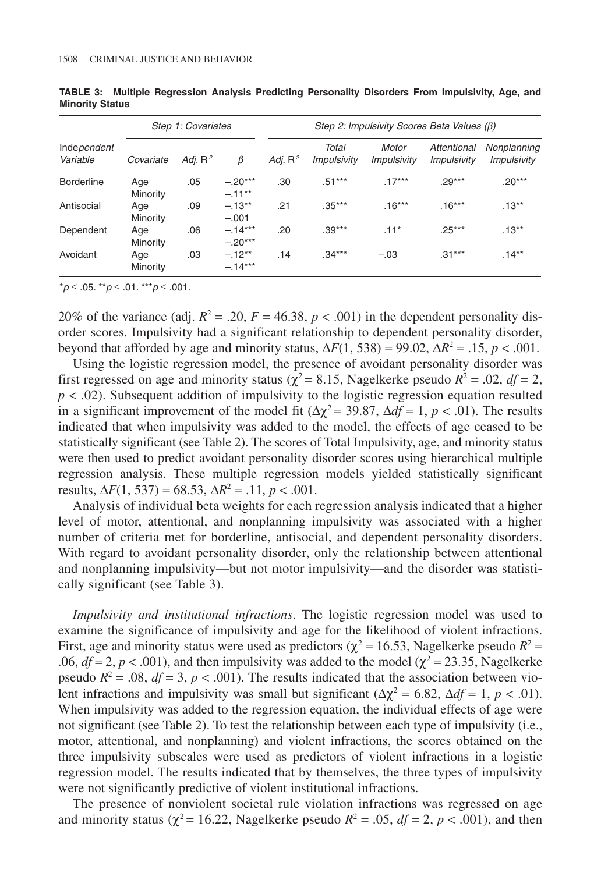|                         | Step 1: Covariates |            | Step 2: Impulsivity Scores Beta Values (β) |            |                                    |                                    |                                          |                                          |
|-------------------------|--------------------|------------|--------------------------------------------|------------|------------------------------------|------------------------------------|------------------------------------------|------------------------------------------|
| Independent<br>Variable | Covariate          | Adj. $R^2$ | β                                          | Adj. $R^2$ | Total<br><i><b>Impulsivity</b></i> | Motor<br><i><b>Impulsivity</b></i> | Attentional<br><i><b>Impulsivity</b></i> | Nonplanning<br><i><b>Impulsivity</b></i> |
| <b>Borderline</b>       | Age<br>Minority    | .05        | $-.20***$<br>$-.11***$                     | .30        | $.51***$                           | $.17***$                           | $.29***$                                 | $.20***$                                 |
| Antisocial              | Age<br>Minority    | .09        | $-.13**$<br>$-.001$                        | .21        | $.35***$                           | $.16***$                           | $.16***$                                 | $.13***$                                 |
| Dependent               | Age<br>Minority    | .06        | $-.14***$<br>$-.20***$                     | .20        | $.39***$                           | $.11*$                             | $.25***$                                 | $.13***$                                 |
| Avoidant                | Age<br>Minority    | .03        | $-.12**$<br>$-.14***$                      | .14        | $.34***$                           | $-.03$                             | $.31***$                                 | $.14***$                                 |

**TABLE 3: Multiple Regression Analysis Predicting Personality Disorders From Impulsivity, Age, and Minority Status**

 $**p* ≤ .05. ***p* ≤ .01. ****p* ≤ .001.$ 

20% of the variance (adj.  $R^2 = .20$ ,  $F = 46.38$ ,  $p < .001$ ) in the dependent personality disorder scores. Impulsivity had a significant relationship to dependent personality disorder, beyond that afforded by age and minority status, ∆*F*(1, 538) = 99.02, ∆*R*<sup>2</sup> = .15, *p* < .001.

Using the logistic regression model, the presence of avoidant personality disorder was first regressed on age and minority status ( $\chi^2$  = 8.15, Nagelkerke pseudo  $R^2$  = .02, *df* = 2,  $p < .02$ ). Subsequent addition of impulsivity to the logistic regression equation resulted in a significant improvement of the model fit ( $\Delta \chi^2 = 39.87$ ,  $\Delta df = 1$ , *p* < .01). The results indicated that when impulsivity was added to the model, the effects of age ceased to be statistically significant (see Table 2). The scores of Total Impulsivity, age, and minority status were then used to predict avoidant personality disorder scores using hierarchical multiple regression analysis. These multiple regression models yielded statistically significant results, ∆*F*(1, 537) = 68.53, ∆*R*<sup>2</sup> = .11, *p* < .001.

Analysis of individual beta weights for each regression analysis indicated that a higher level of motor, attentional, and nonplanning impulsivity was associated with a higher number of criteria met for borderline, antisocial, and dependent personality disorders. With regard to avoidant personality disorder, only the relationship between attentional and nonplanning impulsivity—but not motor impulsivity—and the disorder was statistically significant (see Table 3).

*Impulsivity and institutional infractions*. The logistic regression model was used to examine the significance of impulsivity and age for the likelihood of violent infractions. First, age and minority status were used as predictors ( $\chi^2$  = 16.53, Nagelkerke pseudo  $R^2$  = .06,  $df = 2$ ,  $p < .001$ ), and then impulsivity was added to the model ( $\chi^2 = 23.35$ , Nagelkerke pseudo  $R^2 = .08$ ,  $df = 3$ ,  $p < .001$ ). The results indicated that the association between violent infractions and impulsivity was small but significant ( $\Delta \chi^2 = 6.82$ ,  $\Delta df = 1$ , *p* < .01). When impulsivity was added to the regression equation, the individual effects of age were not significant (see Table 2). To test the relationship between each type of impulsivity (i.e., motor, attentional, and nonplanning) and violent infractions, the scores obtained on the three impulsivity subscales were used as predictors of violent infractions in a logistic regression model. The results indicated that by themselves, the three types of impulsivity were not significantly predictive of violent institutional infractions.

The presence of nonviolent societal rule violation infractions was regressed on age and minority status ( $\chi^2$  = 16.22, Nagelkerke pseudo  $R^2$  = .05,  $df$  = 2,  $p$  < .001), and then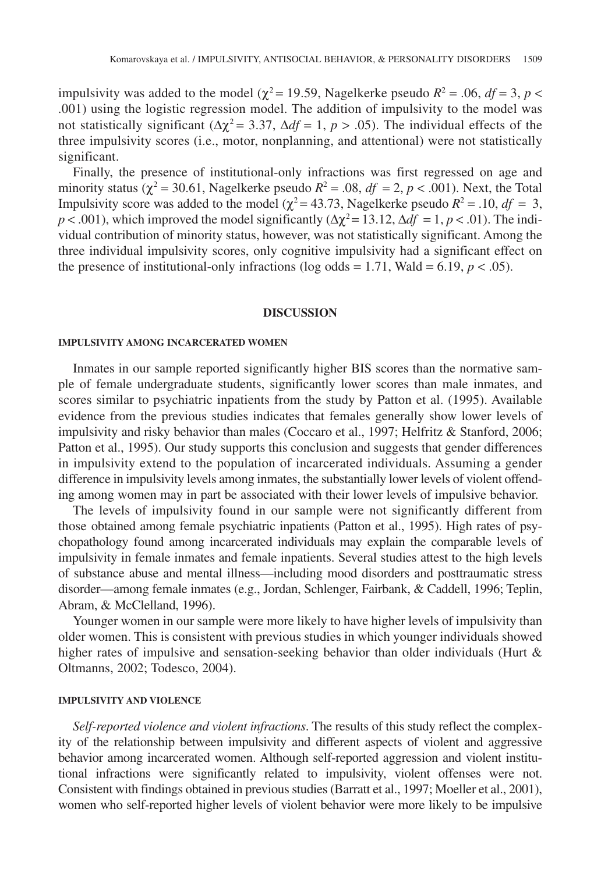impulsivity was added to the model ( $\chi^2$  = 19.59, Nagelkerke pseudo  $R^2$  = .06,  $df = 3$ ,  $p$  < .001) using the logistic regression model. The addition of impulsivity to the model was not statistically significant ( $Δχ² = 3.37$ ,  $Δdf = 1$ ,  $p > .05$ ). The individual effects of the three impulsivity scores (i.e., motor, nonplanning, and attentional) were not statistically significant.

Finally, the presence of institutional-only infractions was first regressed on age and minority status ( $\chi^2$  = 30.61, Nagelkerke pseudo  $R^2$  = .08,  $df = 2$ ,  $p < .001$ ). Next, the Total Impulsivity score was added to the model ( $\chi^2$  = 43.73, Nagelkerke pseudo  $R^2$  = .10, *df* = 3,  $p < .001$ ), which improved the model significantly ( $\Delta \chi^2 = 13.12$ ,  $\Delta df = 1$ ,  $p < .01$ ). The individual contribution of minority status, however, was not statistically significant. Among the three individual impulsivity scores, only cognitive impulsivity had a significant effect on the presence of institutional-only infractions (log odds = 1.71, Wald = 6.19,  $p < .05$ ).

#### **DISCUSSION**

#### **IMPULSIVITY AMONG INCARCERATED WOMEN**

Inmates in our sample reported significantly higher BIS scores than the normative sample of female undergraduate students, significantly lower scores than male inmates, and scores similar to psychiatric inpatients from the study by Patton et al. (1995). Available evidence from the previous studies indicates that females generally show lower levels of impulsivity and risky behavior than males (Coccaro et al., 1997; Helfritz & Stanford, 2006; Patton et al., 1995). Our study supports this conclusion and suggests that gender differences in impulsivity extend to the population of incarcerated individuals. Assuming a gender difference in impulsivity levels among inmates, the substantially lower levels of violent offending among women may in part be associated with their lower levels of impulsive behavior.

The levels of impulsivity found in our sample were not significantly different from those obtained among female psychiatric inpatients (Patton et al., 1995). High rates of psychopathology found among incarcerated individuals may explain the comparable levels of impulsivity in female inmates and female inpatients. Several studies attest to the high levels of substance abuse and mental illness—including mood disorders and posttraumatic stress disorder—among female inmates (e.g., Jordan, Schlenger, Fairbank, & Caddell, 1996; Teplin, Abram, & McClelland, 1996).

Younger women in our sample were more likely to have higher levels of impulsivity than older women. This is consistent with previous studies in which younger individuals showed higher rates of impulsive and sensation-seeking behavior than older individuals (Hurt & Oltmanns, 2002; Todesco, 2004).

#### **IMPULSIVITY AND VIOLENCE**

*Self-reported violence and violent infractions*. The results of this study reflect the complexity of the relationship between impulsivity and different aspects of violent and aggressive behavior among incarcerated women. Although self-reported aggression and violent institutional infractions were significantly related to impulsivity, violent offenses were not. Consistent with findings obtained in previous studies (Barratt et al., 1997; Moeller et al., 2001), women who self-reported higher levels of violent behavior were more likely to be impulsive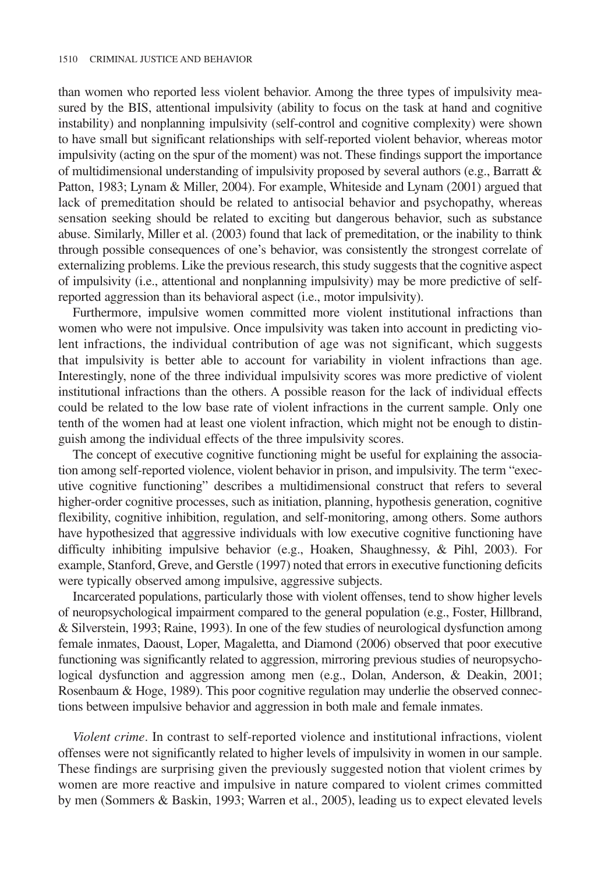than women who reported less violent behavior. Among the three types of impulsivity measured by the BIS, attentional impulsivity (ability to focus on the task at hand and cognitive instability) and nonplanning impulsivity (self-control and cognitive complexity) were shown to have small but significant relationships with self-reported violent behavior, whereas motor impulsivity (acting on the spur of the moment) was not. These findings support the importance of multidimensional understanding of impulsivity proposed by several authors (e.g., Barratt & Patton, 1983; Lynam & Miller, 2004). For example, Whiteside and Lynam (2001) argued that lack of premeditation should be related to antisocial behavior and psychopathy, whereas sensation seeking should be related to exciting but dangerous behavior, such as substance abuse. Similarly, Miller et al. (2003) found that lack of premeditation, or the inability to think through possible consequences of one's behavior, was consistently the strongest correlate of externalizing problems. Like the previous research, this study suggests that the cognitive aspect of impulsivity (i.e., attentional and nonplanning impulsivity) may be more predictive of selfreported aggression than its behavioral aspect (i.e., motor impulsivity).

Furthermore, impulsive women committed more violent institutional infractions than women who were not impulsive. Once impulsivity was taken into account in predicting violent infractions, the individual contribution of age was not significant, which suggests that impulsivity is better able to account for variability in violent infractions than age. Interestingly, none of the three individual impulsivity scores was more predictive of violent institutional infractions than the others. A possible reason for the lack of individual effects could be related to the low base rate of violent infractions in the current sample. Only one tenth of the women had at least one violent infraction, which might not be enough to distinguish among the individual effects of the three impulsivity scores.

The concept of executive cognitive functioning might be useful for explaining the association among self-reported violence, violent behavior in prison, and impulsivity. The term "executive cognitive functioning" describes a multidimensional construct that refers to several higher-order cognitive processes, such as initiation, planning, hypothesis generation, cognitive flexibility, cognitive inhibition, regulation, and self-monitoring, among others. Some authors have hypothesized that aggressive individuals with low executive cognitive functioning have difficulty inhibiting impulsive behavior (e.g., Hoaken, Shaughnessy, & Pihl, 2003). For example, Stanford, Greve, and Gerstle (1997) noted that errors in executive functioning deficits were typically observed among impulsive, aggressive subjects.

Incarcerated populations, particularly those with violent offenses, tend to show higher levels of neuropsychological impairment compared to the general population (e.g., Foster, Hillbrand, & Silverstein, 1993; Raine, 1993). In one of the few studies of neurological dysfunction among female inmates, Daoust, Loper, Magaletta, and Diamond (2006) observed that poor executive functioning was significantly related to aggression, mirroring previous studies of neuropsychological dysfunction and aggression among men (e.g., Dolan, Anderson, & Deakin, 2001; Rosenbaum & Hoge, 1989). This poor cognitive regulation may underlie the observed connections between impulsive behavior and aggression in both male and female inmates.

*Violent crime*. In contrast to self-reported violence and institutional infractions, violent offenses were not significantly related to higher levels of impulsivity in women in our sample. These findings are surprising given the previously suggested notion that violent crimes by women are more reactive and impulsive in nature compared to violent crimes committed by men (Sommers & Baskin, 1993; Warren et al., 2005), leading us to expect elevated levels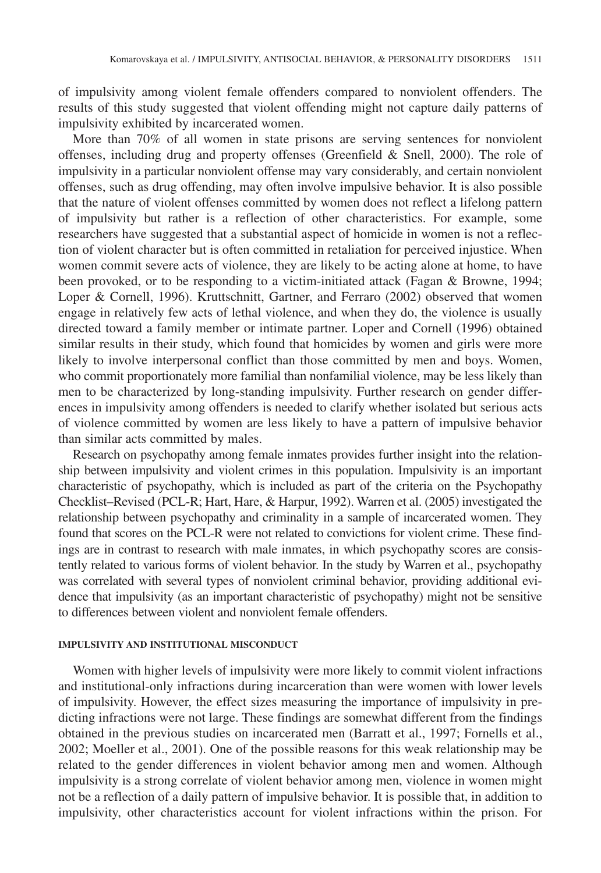of impulsivity among violent female offenders compared to nonviolent offenders. The results of this study suggested that violent offending might not capture daily patterns of impulsivity exhibited by incarcerated women.

More than 70% of all women in state prisons are serving sentences for nonviolent offenses, including drug and property offenses (Greenfield & Snell, 2000). The role of impulsivity in a particular nonviolent offense may vary considerably, and certain nonviolent offenses, such as drug offending, may often involve impulsive behavior. It is also possible that the nature of violent offenses committed by women does not reflect a lifelong pattern of impulsivity but rather is a reflection of other characteristics. For example, some researchers have suggested that a substantial aspect of homicide in women is not a reflection of violent character but is often committed in retaliation for perceived injustice. When women commit severe acts of violence, they are likely to be acting alone at home, to have been provoked, or to be responding to a victim-initiated attack (Fagan & Browne, 1994; Loper & Cornell, 1996). Kruttschnitt, Gartner, and Ferraro (2002) observed that women engage in relatively few acts of lethal violence, and when they do, the violence is usually directed toward a family member or intimate partner. Loper and Cornell (1996) obtained similar results in their study, which found that homicides by women and girls were more likely to involve interpersonal conflict than those committed by men and boys. Women, who commit proportionately more familial than nonfamilial violence, may be less likely than men to be characterized by long-standing impulsivity. Further research on gender differences in impulsivity among offenders is needed to clarify whether isolated but serious acts of violence committed by women are less likely to have a pattern of impulsive behavior than similar acts committed by males.

Research on psychopathy among female inmates provides further insight into the relationship between impulsivity and violent crimes in this population. Impulsivity is an important characteristic of psychopathy, which is included as part of the criteria on the Psychopathy Checklist–Revised (PCL-R; Hart, Hare, & Harpur, 1992). Warren et al. (2005) investigated the relationship between psychopathy and criminality in a sample of incarcerated women. They found that scores on the PCL-R were not related to convictions for violent crime. These findings are in contrast to research with male inmates, in which psychopathy scores are consistently related to various forms of violent behavior. In the study by Warren et al., psychopathy was correlated with several types of nonviolent criminal behavior, providing additional evidence that impulsivity (as an important characteristic of psychopathy) might not be sensitive to differences between violent and nonviolent female offenders.

#### **IMPULSIVITY AND INSTITUTIONAL MISCONDUCT**

Women with higher levels of impulsivity were more likely to commit violent infractions and institutional-only infractions during incarceration than were women with lower levels of impulsivity. However, the effect sizes measuring the importance of impulsivity in predicting infractions were not large. These findings are somewhat different from the findings obtained in the previous studies on incarcerated men (Barratt et al., 1997; Fornells et al., 2002; Moeller et al., 2001). One of the possible reasons for this weak relationship may be related to the gender differences in violent behavior among men and women. Although impulsivity is a strong correlate of violent behavior among men, violence in women might not be a reflection of a daily pattern of impulsive behavior. It is possible that, in addition to impulsivity, other characteristics account for violent infractions within the prison. For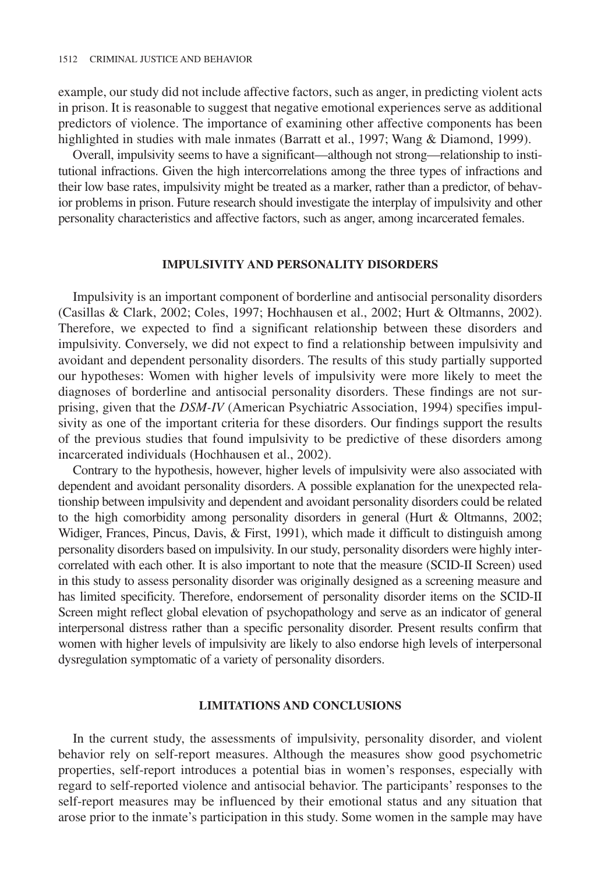example, our study did not include affective factors, such as anger, in predicting violent acts in prison. It is reasonable to suggest that negative emotional experiences serve as additional predictors of violence. The importance of examining other affective components has been highlighted in studies with male inmates (Barratt et al., 1997; Wang & Diamond, 1999).

Overall, impulsivity seems to have a significant—although not strong—relationship to institutional infractions. Given the high intercorrelations among the three types of infractions and their low base rates, impulsivity might be treated as a marker, rather than a predictor, of behavior problems in prison. Future research should investigate the interplay of impulsivity and other personality characteristics and affective factors, such as anger, among incarcerated females.

## **IMPULSIVITY AND PERSONALITY DISORDERS**

Impulsivity is an important component of borderline and antisocial personality disorders (Casillas & Clark, 2002; Coles, 1997; Hochhausen et al., 2002; Hurt & Oltmanns, 2002). Therefore, we expected to find a significant relationship between these disorders and impulsivity. Conversely, we did not expect to find a relationship between impulsivity and avoidant and dependent personality disorders. The results of this study partially supported our hypotheses: Women with higher levels of impulsivity were more likely to meet the diagnoses of borderline and antisocial personality disorders. These findings are not surprising, given that the *DSM-IV* (American Psychiatric Association, 1994) specifies impulsivity as one of the important criteria for these disorders. Our findings support the results of the previous studies that found impulsivity to be predictive of these disorders among incarcerated individuals (Hochhausen et al., 2002).

Contrary to the hypothesis, however, higher levels of impulsivity were also associated with dependent and avoidant personality disorders. A possible explanation for the unexpected relationship between impulsivity and dependent and avoidant personality disorders could be related to the high comorbidity among personality disorders in general (Hurt & Oltmanns, 2002; Widiger, Frances, Pincus, Davis, & First, 1991), which made it difficult to distinguish among personality disorders based on impulsivity. In our study, personality disorders were highly intercorrelated with each other. It is also important to note that the measure (SCID-II Screen) used in this study to assess personality disorder was originally designed as a screening measure and has limited specificity. Therefore, endorsement of personality disorder items on the SCID-II Screen might reflect global elevation of psychopathology and serve as an indicator of general interpersonal distress rather than a specific personality disorder. Present results confirm that women with higher levels of impulsivity are likely to also endorse high levels of interpersonal dysregulation symptomatic of a variety of personality disorders.

#### **LIMITATIONS AND CONCLUSIONS**

In the current study, the assessments of impulsivity, personality disorder, and violent behavior rely on self-report measures. Although the measures show good psychometric properties, self-report introduces a potential bias in women's responses, especially with regard to self-reported violence and antisocial behavior. The participants' responses to the self-report measures may be influenced by their emotional status and any situation that arose prior to the inmate's participation in this study. Some women in the sample may have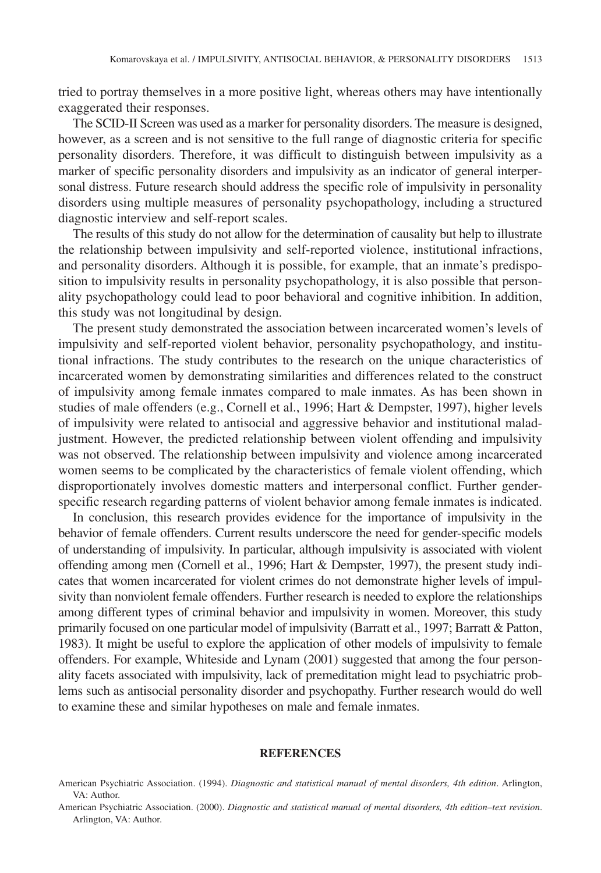tried to portray themselves in a more positive light, whereas others may have intentionally exaggerated their responses.

The SCID-II Screen was used as a marker for personality disorders. The measure is designed, however, as a screen and is not sensitive to the full range of diagnostic criteria for specific personality disorders. Therefore, it was difficult to distinguish between impulsivity as a marker of specific personality disorders and impulsivity as an indicator of general interpersonal distress. Future research should address the specific role of impulsivity in personality disorders using multiple measures of personality psychopathology, including a structured diagnostic interview and self-report scales.

The results of this study do not allow for the determination of causality but help to illustrate the relationship between impulsivity and self-reported violence, institutional infractions, and personality disorders. Although it is possible, for example, that an inmate's predisposition to impulsivity results in personality psychopathology, it is also possible that personality psychopathology could lead to poor behavioral and cognitive inhibition. In addition, this study was not longitudinal by design.

The present study demonstrated the association between incarcerated women's levels of impulsivity and self-reported violent behavior, personality psychopathology, and institutional infractions. The study contributes to the research on the unique characteristics of incarcerated women by demonstrating similarities and differences related to the construct of impulsivity among female inmates compared to male inmates. As has been shown in studies of male offenders (e.g., Cornell et al., 1996; Hart & Dempster, 1997), higher levels of impulsivity were related to antisocial and aggressive behavior and institutional maladjustment. However, the predicted relationship between violent offending and impulsivity was not observed. The relationship between impulsivity and violence among incarcerated women seems to be complicated by the characteristics of female violent offending, which disproportionately involves domestic matters and interpersonal conflict. Further genderspecific research regarding patterns of violent behavior among female inmates is indicated.

In conclusion, this research provides evidence for the importance of impulsivity in the behavior of female offenders. Current results underscore the need for gender-specific models of understanding of impulsivity. In particular, although impulsivity is associated with violent offending among men (Cornell et al., 1996; Hart & Dempster, 1997), the present study indicates that women incarcerated for violent crimes do not demonstrate higher levels of impulsivity than nonviolent female offenders. Further research is needed to explore the relationships among different types of criminal behavior and impulsivity in women. Moreover, this study primarily focused on one particular model of impulsivity (Barratt et al., 1997; Barratt & Patton, 1983). It might be useful to explore the application of other models of impulsivity to female offenders. For example, Whiteside and Lynam (2001) suggested that among the four personality facets associated with impulsivity, lack of premeditation might lead to psychiatric problems such as antisocial personality disorder and psychopathy. Further research would do well to examine these and similar hypotheses on male and female inmates.

### **REFERENCES**

American Psychiatric Association. (1994). *Diagnostic and statistical manual of mental disorders, 4th edition*. Arlington, VA: Author.

American Psychiatric Association. (2000). *Diagnostic and statistical manual of mental disorders, 4th edition*–*text revision*. Arlington, VA: Author.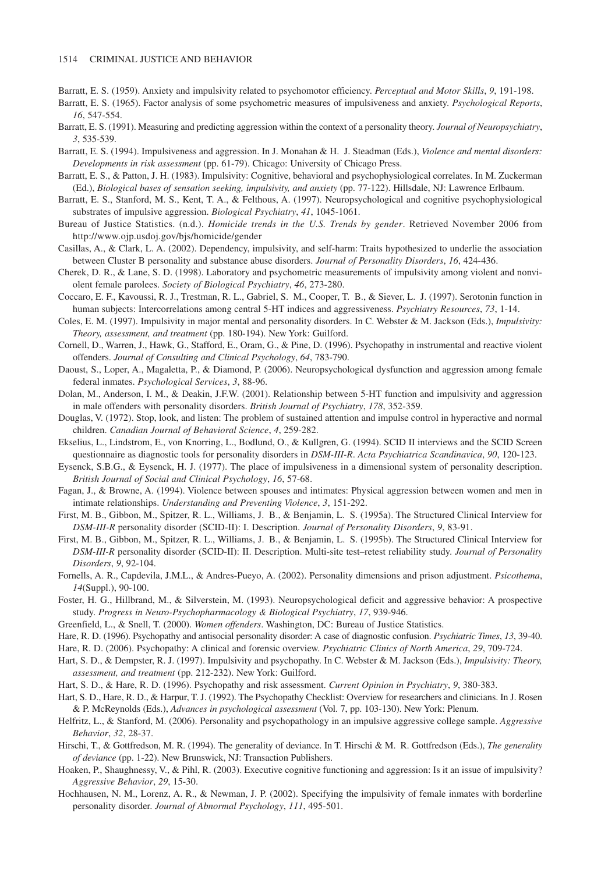#### 1514 CRIMINAL JUSTICE AND BEHAVIOR

- Barratt, E. S. (1959). Anxiety and impulsivity related to psychomotor efficiency. *Perceptual and Motor Skills*, *9*, 191-198.
- Barratt, E. S. (1965). Factor analysis of some psychometric measures of impulsiveness and anxiety. *Psychological Reports*, *16*, 547-554.
- Barratt, E. S. (1991). Measuring and predicting aggression within the context of a personality theory. *Journal of Neuropsychiatry*, *3*, 535-539.
- Barratt, E. S. (1994). Impulsiveness and aggression. In J. Monahan & H. J. Steadman (Eds.), *Violence and mental disorders: Developments in risk assessment* (pp. 61-79). Chicago: University of Chicago Press.
- Barratt, E. S., & Patton, J. H. (1983). Impulsivity: Cognitive, behavioral and psychophysiological correlates. In M. Zuckerman (Ed.), *Biological bases of sensation seeking, impulsivity, and anxiety* (pp. 77-122). Hillsdale, NJ: Lawrence Erlbaum.
- Barratt, E. S., Stanford, M. S., Kent, T. A., & Felthous, A. (1997). Neuropsychological and cognitive psychophysiological substrates of impulsive aggression. *Biological Psychiatry*, *41*, 1045-1061.
- Bureau of Justice Statistics. (n.d.). *Homicide trends in the U.S. Trends by gender*. Retrieved November 2006 from http://www.ojp.usdoj.gov/bjs/homicide/gender
- Casillas, A., & Clark, L. A. (2002). Dependency, impulsivity, and self-harm: Traits hypothesized to underlie the association between Cluster B personality and substance abuse disorders. *Journal of Personality Disorders*, *16*, 424-436.
- Cherek, D. R., & Lane, S. D. (1998). Laboratory and psychometric measurements of impulsivity among violent and nonviolent female parolees. *Society of Biological Psychiatry*, *46*, 273-280.
- Coccaro, E. F., Kavoussi, R. J., Trestman, R. L., Gabriel, S. M., Cooper, T. B., & Siever, L. J. (1997). Serotonin function in human subjects: Intercorrelations among central 5-HT indices and aggressiveness. *Psychiatry Resources*, *73*, 1-14.
- Coles, E. M. (1997). Impulsivity in major mental and personality disorders. In C. Webster & M. Jackson (Eds.), *Impulsivity: Theory, assessment, and treatment* (pp. 180-194). New York: Guilford.
- Cornell, D., Warren, J., Hawk, G., Stafford, E., Oram, G., & Pine, D. (1996). Psychopathy in instrumental and reactive violent offenders. *Journal of Consulting and Clinical Psychology*, *64*, 783-790.
- Daoust, S., Loper, A., Magaletta, P., & Diamond, P. (2006). Neuropsychological dysfunction and aggression among female federal inmates. *Psychological Services*, *3*, 88-96.
- Dolan, M., Anderson, I. M., & Deakin, J.F.W. (2001). Relationship between 5-HT function and impulsivity and aggression in male offenders with personality disorders. *British Journal of Psychiatry*, *178*, 352-359.
- Douglas, V. (1972). Stop, look, and listen: The problem of sustained attention and impulse control in hyperactive and normal children. *Canadian Journal of Behavioral Science*, *4*, 259-282.
- Ekselius, L., Lindstrom, E., von Knorring, L., Bodlund, O., & Kullgren, G. (1994). SCID II interviews and the SCID Screen questionnaire as diagnostic tools for personality disorders in *DSM-III-R*. *Acta Psychiatrica Scandinavica*, *90*, 120-123.
- Eysenck, S.B.G., & Eysenck, H. J. (1977). The place of impulsiveness in a dimensional system of personality description. *British Journal of Social and Clinical Psychology*, *16*, 57-68.
- Fagan, J., & Browne, A. (1994). Violence between spouses and intimates: Physical aggression between women and men in intimate relationships. *Understanding and Preventing Violence*, *3*, 151-292.
- First, M. B., Gibbon, M., Spitzer, R. L., Williams, J. B., & Benjamin, L. S. (1995a). The Structured Clinical Interview for *DSM-III-R* personality disorder (SCID-II): I. Description. *Journal of Personality Disorders*, *9*, 83-91.
- First, M. B., Gibbon, M., Spitzer, R. L., Williams, J. B., & Benjamin, L. S. (1995b). The Structured Clinical Interview for *DSM-III-R* personality disorder (SCID-II): II. Description. Multi-site test–retest reliability study. *Journal of Personality Disorders*, *9*, 92-104.
- Fornells, A. R., Capdevila, J.M.L., & Andres-Pueyo, A. (2002). Personality dimensions and prison adjustment. *Psicothema*, *14*(Suppl.), 90-100.
- Foster, H. G., Hillbrand, M., & Silverstein, M. (1993). Neuropsychological deficit and aggressive behavior: A prospective study. *Progress in Neuro-Psychopharmacology & Biological Psychiatry*, *17*, 939-946.
- Greenfield, L., & Snell, T. (2000). *Women offenders*. Washington, DC: Bureau of Justice Statistics.
- Hare, R. D. (1996). Psychopathy and antisocial personality disorder: A case of diagnostic confusion. *Psychiatric Times*, *13*, 39-40.
- Hare, R. D. (2006). Psychopathy: A clinical and forensic overview. *Psychiatric Clinics of North America*, *29*, 709-724.
- Hart, S. D., & Dempster, R. J. (1997). Impulsivity and psychopathy. In C. Webster & M. Jackson (Eds.), *Impulsivity: Theory, assessment, and treatment* (pp. 212-232). New York: Guilford.
- Hart, S. D., & Hare, R. D. (1996). Psychopathy and risk assessment. *Current Opinion in Psychiatry*, *9*, 380-383.
- Hart, S. D., Hare, R. D., & Harpur, T. J. (1992). The Psychopathy Checklist: Overview for researchers and clinicians. In J. Rosen & P. McReynolds (Eds.), *Advances in psychological assessment* (Vol. 7, pp. 103-130). New York: Plenum.
- Helfritz, L., & Stanford, M. (2006). Personality and psychopathology in an impulsive aggressive college sample. *Aggressive Behavior*, *32*, 28-37.
- Hirschi, T., & Gottfredson, M. R. (1994). The generality of deviance. In T. Hirschi & M. R. Gottfredson (Eds.), *The generality of deviance* (pp. 1-22). New Brunswick, NJ: Transaction Publishers.
- Hoaken, P., Shaughnessy, V., & Pihl, R. (2003). Executive cognitive functioning and aggression: Is it an issue of impulsivity? *Aggressive Behavior*, *29*, 15-30.
- Hochhausen, N. M., Lorenz, A. R., & Newman, J. P. (2002). Specifying the impulsivity of female inmates with borderline personality disorder. *Journal of Abnormal Psychology*, *111*, 495-501.